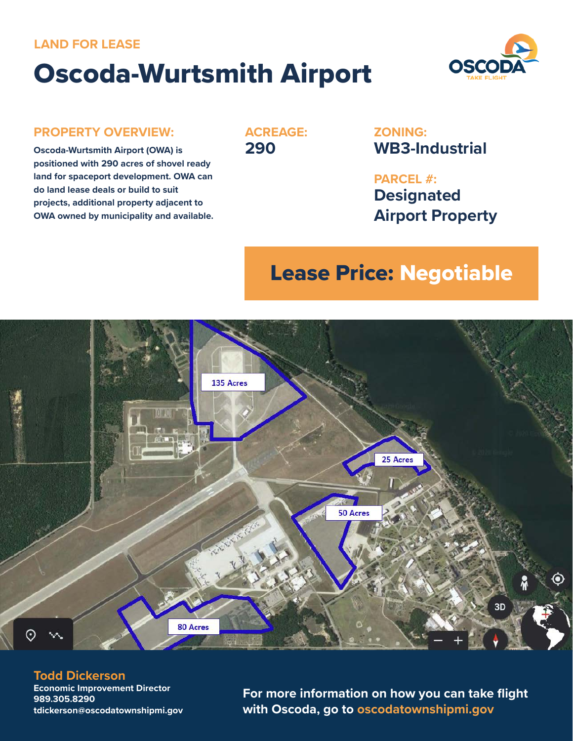### **LAND FOR LEASE**

# Oscoda-Wurtsmith Airport



#### **PROPERTY OVERVIEW:**

**Oscoda-Wurtsmith Airport (OWA) is positioned with 290 acres of shovel ready land for spaceport development. OWA can do land lease deals or build to suit projects, additional property adjacent to OWA owned by municipality and available.** **ACREAGE: 290**

**ZONING: WB3-Industrial**

**PARCEL #: Designated Airport Property**

# Lease Price: Negotiable



#### **Todd Dickerson**

**Economic Improvement Director 989.305.8290 tdickerson@oscodatownshipmi.gov**

**For more information on how you can take flight with Oscoda, go to oscodatownshipmi.gov**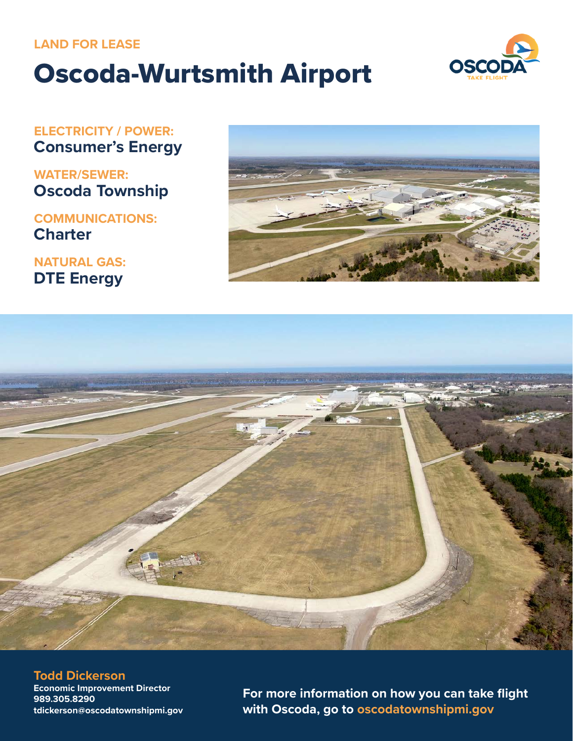# **LAND FOR LEASE**

# Oscoda-Wurtsmith Airport



**ELECTRICITY / POWER: Consumer's Energy**

**WATER/SEWER: Oscoda Township**

# **COMMUNICATIONS: Charter**

**NATURAL GAS: DTE Energy**





**Todd Dickerson Economic Improvement Director 989.305.8290 tdickerson@oscodatownshipmi.gov**

**For more information on how you can take flight with Oscoda, go to oscodatownshipmi.gov**